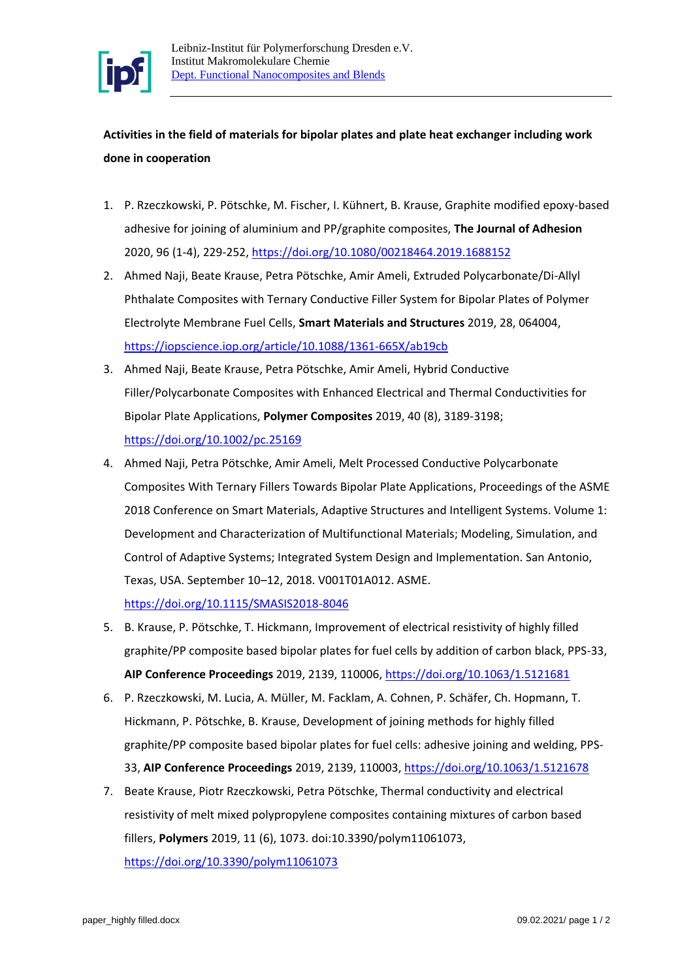

**Activities in the field of materials for bipolar plates and plate heat exchanger including work done in cooperation**

- 1. P. Rzeczkowski, P. Pötschke, M. Fischer, I. Kühnert, B. Krause, Graphite modified epoxy-based adhesive for joining of aluminium and PP/graphite composites, **The Journal of Adhesion** 2020, 96 (1-4), 229-252[, https://doi.org/10.1080/00218464.2019.1688152](https://doi.org/10.1080/00218464.2019.1688152)
- 2. Ahmed Naji, Beate Krause, Petra Pötschke, Amir Ameli, Extruded Polycarbonate/Di-Allyl Phthalate Composites with Ternary Conductive Filler System for Bipolar Plates of Polymer Electrolyte Membrane Fuel Cells, **Smart Materials and Structures** 2019, 28, 064004, <https://iopscience.iop.org/article/10.1088/1361-665X/ab19cb>
- 3. Ahmed Naji, Beate Krause, Petra Pötschke, Amir Ameli, Hybrid Conductive Filler/Polycarbonate Composites with Enhanced Electrical and Thermal Conductivities for Bipolar Plate Applications, **Polymer Composites** 2019, 40 (8), 3189-3198; <https://doi.org/10.1002/pc.25169>
- 4. Ahmed Naji, Petra Pötschke, Amir Ameli, Melt Processed Conductive Polycarbonate Composites With Ternary Fillers Towards Bipolar Plate Applications, Proceedings of the ASME 2018 Conference on Smart Materials, Adaptive Structures and Intelligent Systems. Volume 1: Development and Characterization of Multifunctional Materials; Modeling, Simulation, and Control of Adaptive Systems; Integrated System Design and Implementation. San Antonio, Texas, USA. September 10–12, 2018. V001T01A012. ASME.

<https://doi.org/10.1115/SMASIS2018-8046>

- 5. B. Krause, P. Pötschke, T. Hickmann, Improvement of electrical resistivity of highly filled graphite/PP composite based bipolar plates for fuel cells by addition of carbon black, PPS-33, **AIP Conference Proceedings** 2019, 2139, 110006, <https://doi.org/10.1063/1.5121681>
- 6. P. Rzeczkowski, M. Lucia, A. Müller, M. Facklam, A. Cohnen, P. Schäfer, Ch. Hopmann, T. Hickmann, P. Pötschke, B. Krause, Development of joining methods for highly filled graphite/PP composite based bipolar plates for fuel cells: adhesive joining and welding, PPS-33, **AIP Conference Proceedings** 2019, 2139, 110003[, https://doi.org/10.1063/1.5121678](https://doi.org/10.1063/1.5121678)
- 7. Beate Krause, Piotr Rzeczkowski, Petra Pötschke, Thermal conductivity and electrical resistivity of melt mixed polypropylene composites containing mixtures of carbon based fillers, **Polymers** 2019, 11 (6), 1073. doi:10.3390/polym11061073, <https://doi.org/10.3390/polym11061073>